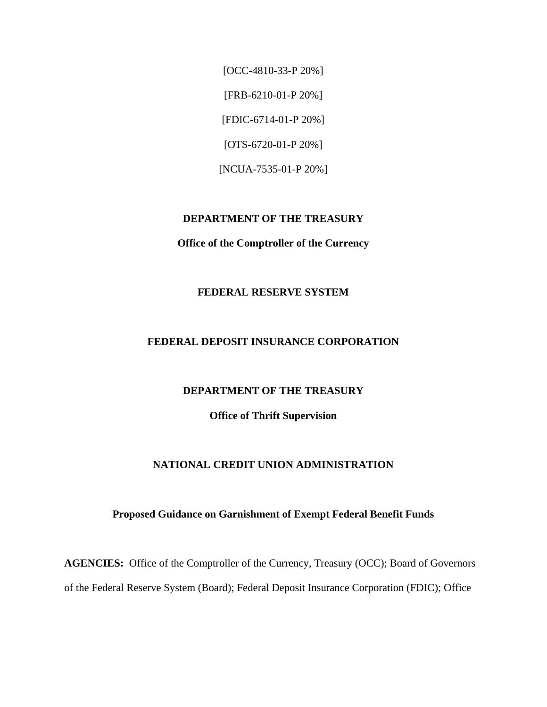[OCC-4810-33-P 20%] [FRB-6210-01-P 20%] [FDIC-6714-01-P 20%] [OTS-6720-01-P 20%] [NCUA-7535-01-P 20%]

#### **DEPARTMENT OF THE TREASURY**

#### **Office of the Comptroller of the Currency**

#### **FEDERAL RESERVE SYSTEM**

#### **FEDERAL DEPOSIT INSURANCE CORPORATION**

#### **DEPARTMENT OF THE TREASURY**

#### **Office of Thrift Supervision**

#### **NATIONAL CREDIT UNION ADMINISTRATION**

#### **Proposed Guidance on Garnishment of Exempt Federal Benefit Funds**

**AGENCIES:** Office of the Comptroller of the Currency, Treasury (OCC); Board of Governors of the Federal Reserve System (Board); Federal Deposit Insurance Corporation (FDIC); Office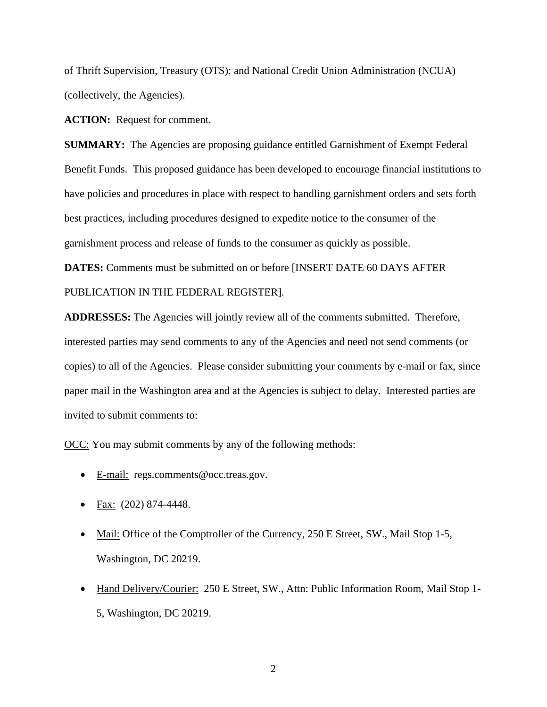of Thrift Supervision, Treasury (OTS); and National Credit Union Administration (NCUA) (collectively, the Agencies).

**ACTION:** Request for comment.

**SUMMARY:** The Agencies are proposing guidance entitled Garnishment of Exempt Federal Benefit Funds. This proposed guidance has been developed to encourage financial institutions to have policies and procedures in place with respect to handling garnishment orders and sets forth best practices, including procedures designed to expedite notice to the consumer of the garnishment process and release of funds to the consumer as quickly as possible.

**DATES:** Comments must be submitted on or before [INSERT DATE 60 DAYS AFTER PUBLICATION IN THE FEDERAL REGISTER].

**ADDRESSES:** The Agencies will jointly review all of the comments submitted. Therefore, interested parties may send comments to any of the Agencies and need not send comments (or copies) to all of the Agencies. Please consider submitting your comments by e-mail or fax, since paper mail in the Washington area and at the Agencies is subject to delay. Interested parties are invited to submit comments to:

OCC: You may submit comments by any of the following methods:

- E-mail: regs.comments@occ.treas.gov.
- Fax:(202) 874-4448.
- Mail: Office of the Comptroller of the Currency, 250 E Street, SW., Mail Stop 1-5, Washington, DC 20219.
- Hand Delivery/Courier: 250 E Street, SW., Attn: Public Information Room, Mail Stop 1-5, Washington, DC 20219.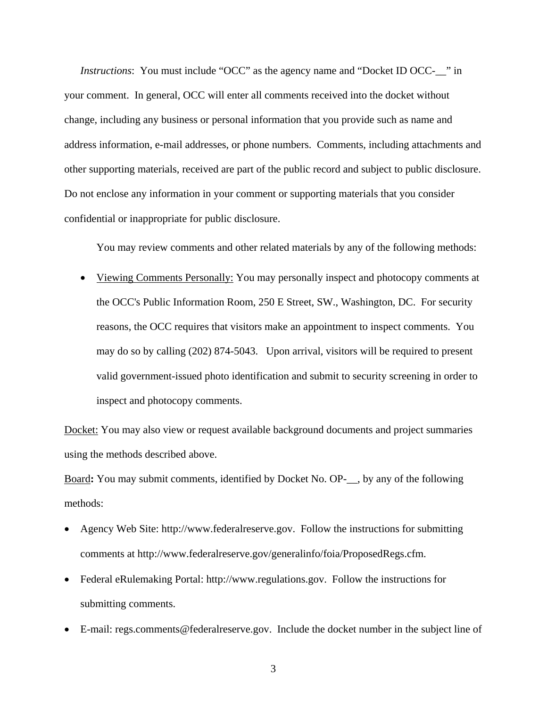*Instructions*: You must include "OCC" as the agency name and "Docket ID OCC-<sub>\_\_</sub>" in your comment.In general, OCC will enter all comments received into the docket without change, including any business or personal information that you provide such as name and address information, e-mail addresses, or phone numbers. Comments, including attachments and other supporting materials, received are part of the public record and subject to public disclosure. Do not enclose any information in your comment or supporting materials that you consider confidential or inappropriate for public disclosure.

You may review comments and other related materials by any of the following methods:

• Viewing Comments Personally: You may personally inspect and photocopy comments at the OCC's Public Information Room, 250 E Street, SW., Washington, DC. For security reasons, the OCC requires that visitors make an appointment to inspect comments. You may do so by calling (202) 874-5043. Upon arrival, visitors will be required to present valid government-issued photo identification and submit to security screening in order to inspect and photocopy comments.

Docket: You may also view or request available background documents and project summaries using the methods described above.

Board**:** You may submit comments, identified by Docket No. OP-\_\_, by any of the following methods:

- Agency Web Site: http://www.federalreserve.gov. Follow the instructions for submitting comments at http://www.federalreserve.gov/generalinfo/foia/ProposedRegs.cfm.
- Federal eRulemaking Portal: http://www.regulations.gov. Follow the instructions for submitting comments.
- E-mail: regs.comments@federalreserve.gov. Include the docket number in the subject line of
	- 3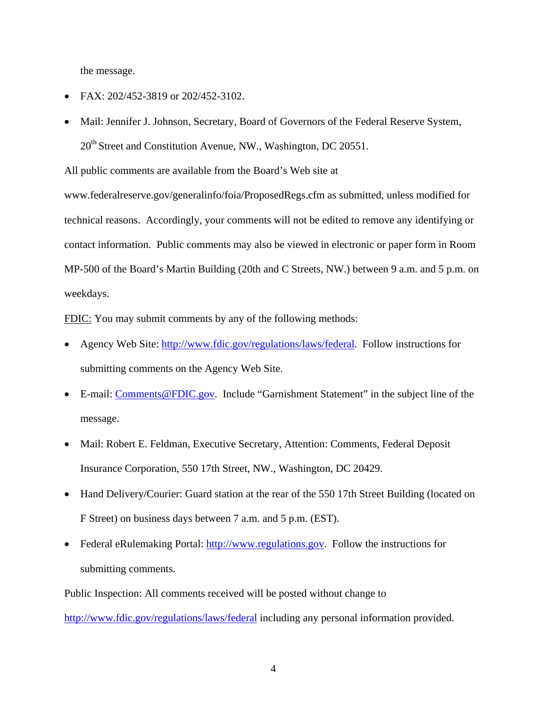the message.

- FAX: 202/452-3819 or 202/452-3102.
- Mail: Jennifer J. Johnson, Secretary, Board of Governors of the Federal Reserve System, 20<sup>th</sup> Street and Constitution Avenue, NW., Washington, DC 20551.

All public comments are available from the Board's Web site at

www.federalreserve.gov/generalinfo/foia/ProposedRegs.cfm as submitted, unless modified for technical reasons. Accordingly, your comments will not be edited to remove any identifying or contact information. Public comments may also be viewed in electronic or paper form in Room MP-500 of the Board's Martin Building (20th and C Streets, NW.) between 9 a.m. and 5 p.m. on weekdays.

FDIC: You may submit comments by any of the following methods:

- Agency Web Site: [http://www.fdic.gov/regulations/laws/federal.](http://www.fdic.gov/regulations/laws/federal) Follow instructions for submitting comments on the Agency Web Site.
- E-mail: [Comments@FDIC.gov](mailto:Comments@FDIC.gov). Include "Garnishment Statement" in the subject line of the message.
- Mail: Robert E. Feldman, Executive Secretary, Attention: Comments, Federal Deposit Insurance Corporation, 550 17th Street, NW., Washington, DC 20429.
- Hand Delivery/Courier: Guard station at the rear of the 550 17th Street Building (located on F Street) on business days between 7 a.m. and 5 p.m. (EST).
- Federal eRulemaking Portal: [http://www.regulations.gov.](http://www.regulations.gov/) Follow the instructions for submitting comments.

Public Inspection: All comments received will be posted without change to <http://www.fdic.gov/regulations/laws/federal>including any personal information provided.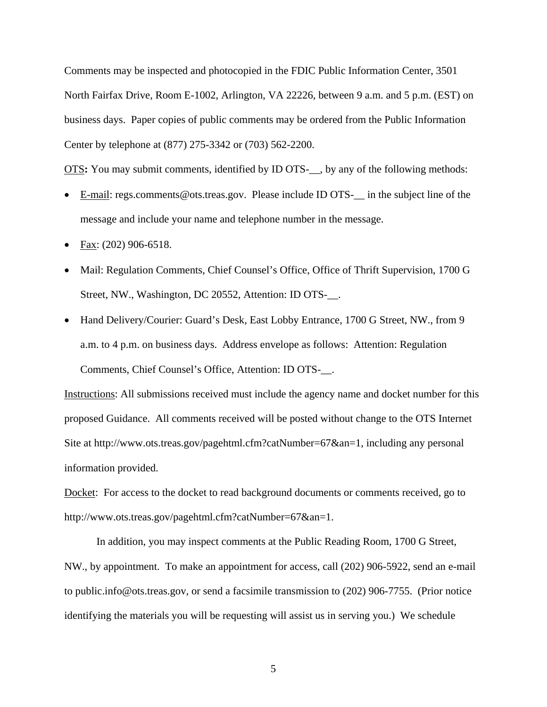Comments may be inspected and photocopied in the FDIC Public Information Center, 3501 North Fairfax Drive, Room E-1002, Arlington, VA 22226, between 9 a.m. and 5 p.m. (EST) on business days. Paper copies of public comments may be ordered from the Public Information Center by telephone at (877) 275-3342 or (703) 562-2200.

OTS**:** You may submit comments, identified by ID OTS-\_\_, by any of the following methods:

- E-mail: regs.comments@ots.treas.gov. Please include ID OTS-\_\_ in the subject line of the message and include your name and telephone number in the message.
- Fax:  $(202)$  906-6518.
- Mail: Regulation Comments, Chief Counsel's Office, Office of Thrift Supervision, 1700 G Street, NW., Washington, DC 20552, Attention: ID OTS-\_\_.
- Hand Delivery/Courier: Guard's Desk, East Lobby Entrance, 1700 G Street, NW., from 9 a.m. to 4 p.m. on business days. Address envelope as follows: Attention: Regulation Comments, Chief Counsel's Office, Attention: ID OTS-\_\_.

Instructions: All submissions received must include the agency name and docket number for this proposed Guidance. All comments received will be posted without change to the OTS Internet Site at http://www.ots.treas.gov/pagehtml.cfm?catNumber=67&an=1, including any personal information provided.

Docket: For access to the docket to read background documents or comments received, go to http://www.ots.treas.gov/pagehtml.cfm?catNumber=67&an=1.

In addition, you may inspect comments at the Public Reading Room, 1700 G Street, NW., by appointment. To make an appointment for access, call (202) 906-5922, send an e-mail to public.info@ots.treas.gov, or send a facsimile transmission to (202) 906-7755. (Prior notice identifying the materials you will be requesting will assist us in serving you.) We schedule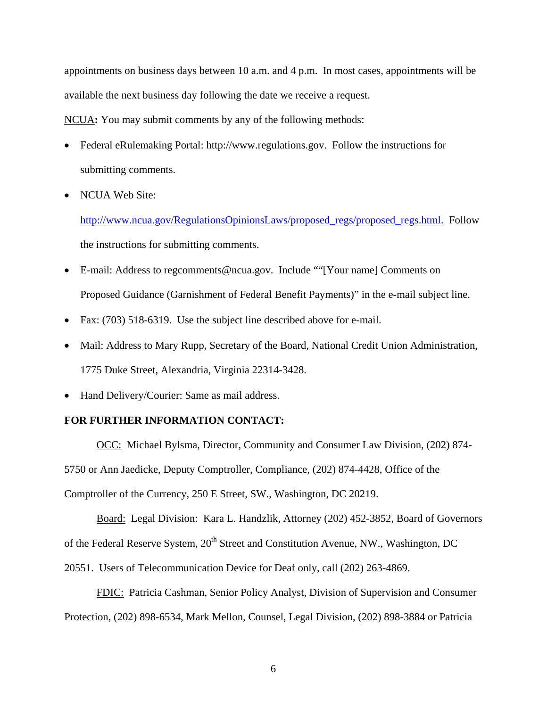appointments on business days between 10 a.m. and 4 p.m. In most cases, appointments will be available the next business day following the date we receive a request.

NCUA**:** You may submit comments by any of the following methods:

- Federal eRulemaking Portal: http://www.regulations.gov. Follow the instructions for submitting comments.
- NCUA Web Site:

http://www.ncua.gov/RegulationsOpinionsLaws/proposed\_regs/proposed\_regs.html. Follow the instructions for submitting comments.

- E-mail: Address to regcomments@ncua.gov. Include ""[Your name] Comments on Proposed Guidance (Garnishment of Federal Benefit Payments)" in the e-mail subject line.
- Fax: (703) 518-6319. Use the subject line described above for e-mail.
- Mail: Address to Mary Rupp, Secretary of the Board, National Credit Union Administration, 1775 Duke Street, Alexandria, Virginia 22314-3428.
- Hand Delivery/Courier: Same as mail address.

#### **FOR FURTHER INFORMATION CONTACT:**

OCC: Michael Bylsma, Director, Community and Consumer Law Division, (202) 874- 5750 or Ann Jaedicke, Deputy Comptroller, Compliance, (202) 874-4428, Office of the Comptroller of the Currency, 250 E Street, SW., Washington, DC 20219.

Board: Legal Division: Kara L. Handzlik, Attorney (202) 452-3852, Board of Governors of the Federal Reserve System, 20<sup>th</sup> Street and Constitution Avenue, NW., Washington, DC 20551. Users of Telecommunication Device for Deaf only, call (202) 263-4869.

FDIC:Patricia Cashman, Senior Policy Analyst, Division of Supervision and Consumer Protection, (202) 898-6534, Mark Mellon, Counsel, Legal Division, (202) 898-3884 or Patricia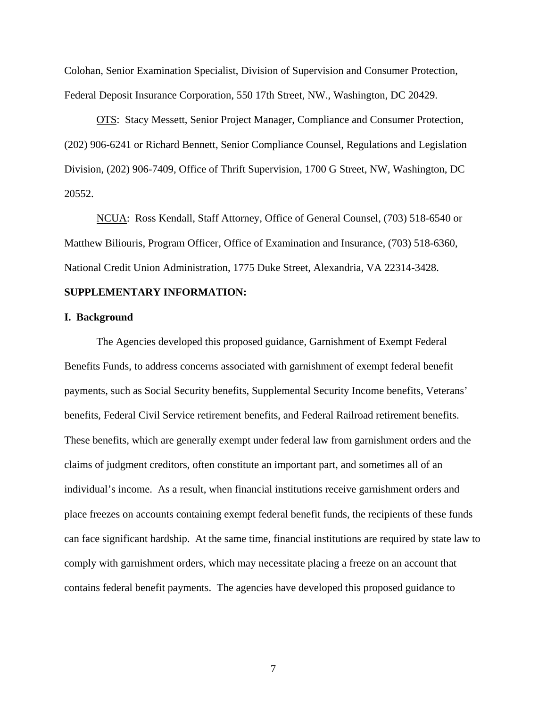Colohan, Senior Examination Specialist, Division of Supervision and Consumer Protection, Federal Deposit Insurance Corporation, 550 17th Street, NW., Washington, DC 20429.

OTS: Stacy Messett, Senior Project Manager, Compliance and Consumer Protection, (202) 906-6241 or Richard Bennett, Senior Compliance Counsel, Regulations and Legislation Division, (202) 906-7409, Office of Thrift Supervision, 1700 G Street, NW, Washington, DC 20552.

NCUA: Ross Kendall, Staff Attorney, Office of General Counsel, (703) 518-6540 or Matthew Biliouris, Program Officer, Office of Examination and Insurance, (703) 518-6360, National Credit Union Administration, 1775 Duke Street, Alexandria, VA 22314-3428.

#### **SUPPLEMENTARY INFORMATION:**

#### **I. Background**

The Agencies developed this proposed guidance, Garnishment of Exempt Federal Benefits Funds, to address concerns associated with garnishment of exempt federal benefit payments, such as Social Security benefits, Supplemental Security Income benefits, Veterans' benefits, Federal Civil Service retirement benefits, and Federal Railroad retirement benefits. These benefits, which are generally exempt under federal law from garnishment orders and the claims of judgment creditors, often constitute an important part, and sometimes all of an individual's income. As a result, when financial institutions receive garnishment orders and place freezes on accounts containing exempt federal benefit funds, the recipients of these funds can face significant hardship. At the same time, financial institutions are required by state law to comply with garnishment orders, which may necessitate placing a freeze on an account that contains federal benefit payments. The agencies have developed this proposed guidance to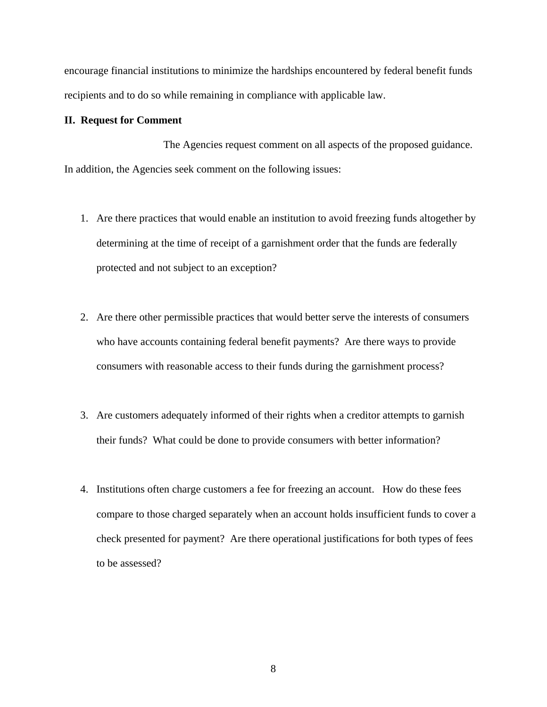encourage financial institutions to minimize the hardships encountered by federal benefit funds recipients and to do so while remaining in compliance with applicable law.

#### **II. Request for Comment**

The Agencies request comment on all aspects of the proposed guidance. In addition, the Agencies seek comment on the following issues:

- 1. Are there practices that would enable an institution to avoid freezing funds altogether by determining at the time of receipt of a garnishment order that the funds are federally protected and not subject to an exception?
- 2. Are there other permissible practices that would better serve the interests of consumers who have accounts containing federal benefit payments? Are there ways to provide consumers with reasonable access to their funds during the garnishment process?
- 3. Are customers adequately informed of their rights when a creditor attempts to garnish their funds? What could be done to provide consumers with better information?
- 4. Institutions often charge customers a fee for freezing an account. How do these fees compare to those charged separately when an account holds insufficient funds to cover a check presented for payment? Are there operational justifications for both types of fees to be assessed?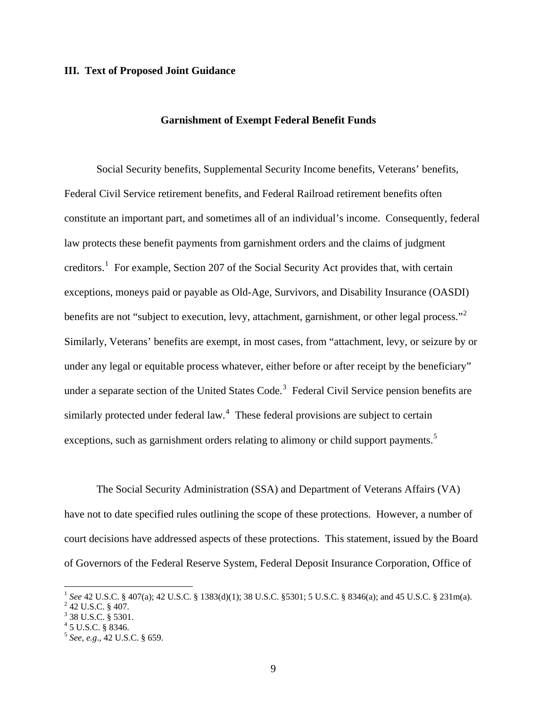#### **III. Text of Proposed Joint Guidance**

#### **Garnishment of Exempt Federal Benefit Funds**

Social Security benefits, Supplemental Security Income benefits, Veterans' benefits, Federal Civil Service retirement benefits, and Federal Railroad retirement benefits often constitute an important part, and sometimes all of an individual's income. Consequently, federal law protects these benefit payments from garnishment orders and the claims of judgment creditors.<sup>[1](#page-8-0)</sup> For example, Section 207 of the Social Security Act provides that, with certain exceptions, moneys paid or payable as Old-Age, Survivors, and Disability Insurance (OASDI) benefits are not "subject to execution, levy, attachment, garnishment, or other legal process."<sup>[2](#page-8-1)</sup> Similarly, Veterans' benefits are exempt, in most cases, from "attachment, levy, or seizure by or under any legal or equitable process whatever, either before or after receipt by the beneficiary" under a separate section of the United States Code.<sup>[3](#page-8-2)</sup> Federal Civil Service pension benefits are similarly protected under federal law.<sup>[4](#page-8-3)</sup> These federal provisions are subject to certain exceptions, such as garnishment orders relating to alimony or child support payments.<sup>[5](#page-8-4)</sup>

The Social Security Administration (SSA) and Department of Veterans Affairs (VA) have not to date specified rules outlining the scope of these protections. However, a number of court decisions have addressed aspects of these protections. This statement, issued by the Board of Governors of the Federal Reserve System, Federal Deposit Insurance Corporation, Office of

 $\overline{a}$ 

<span id="page-8-0"></span><sup>&</sup>lt;sup>1</sup> *See* 42 U.S.C. § 407(a); 42 U.S.C. § 1383(d)(1); 38 U.S.C. §5301; 5 U.S.C. § 8346(a); and 45 U.S.C. § 231m(a).

<span id="page-8-1"></span> $2$  42 U.S.C. § 407.

<span id="page-8-3"></span><span id="page-8-2"></span> $3$  38 U.S.C. § 5301.

 $4$  5 U.S.C. § 8346.

<span id="page-8-4"></span><sup>5</sup> *See*, *e.g*., 42 U.S.C. § 659.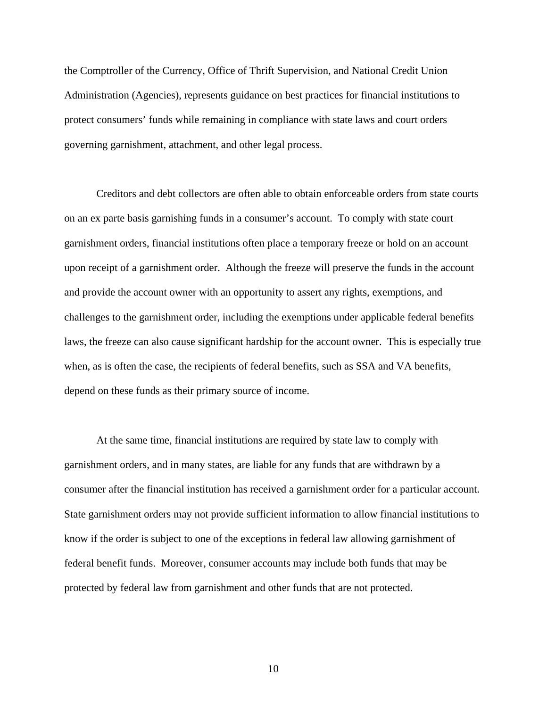the Comptroller of the Currency, Office of Thrift Supervision, and National Credit Union Administration (Agencies), represents guidance on best practices for financial institutions to protect consumers' funds while remaining in compliance with state laws and court orders governing garnishment, attachment, and other legal process.

Creditors and debt collectors are often able to obtain enforceable orders from state courts on an ex parte basis garnishing funds in a consumer's account. To comply with state court garnishment orders, financial institutions often place a temporary freeze or hold on an account upon receipt of a garnishment order. Although the freeze will preserve the funds in the account and provide the account owner with an opportunity to assert any rights, exemptions, and challenges to the garnishment order, including the exemptions under applicable federal benefits laws, the freeze can also cause significant hardship for the account owner. This is especially true when, as is often the case, the recipients of federal benefits, such as SSA and VA benefits, depend on these funds as their primary source of income.

At the same time, financial institutions are required by state law to comply with garnishment orders, and in many states, are liable for any funds that are withdrawn by a consumer after the financial institution has received a garnishment order for a particular account. State garnishment orders may not provide sufficient information to allow financial institutions to know if the order is subject to one of the exceptions in federal law allowing garnishment of federal benefit funds. Moreover, consumer accounts may include both funds that may be protected by federal law from garnishment and other funds that are not protected.

10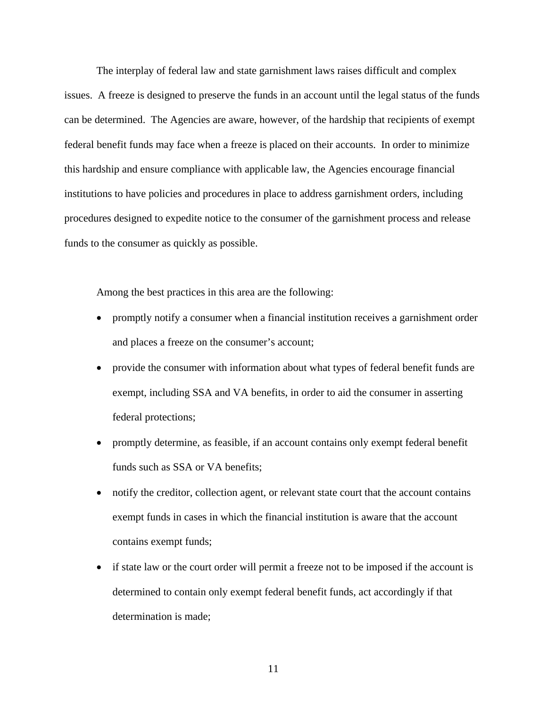The interplay of federal law and state garnishment laws raises difficult and complex issues. A freeze is designed to preserve the funds in an account until the legal status of the funds can be determined. The Agencies are aware, however, of the hardship that recipients of exempt federal benefit funds may face when a freeze is placed on their accounts. In order to minimize this hardship and ensure compliance with applicable law, the Agencies encourage financial institutions to have policies and procedures in place to address garnishment orders, including procedures designed to expedite notice to the consumer of the garnishment process and release funds to the consumer as quickly as possible.

Among the best practices in this area are the following:

- promptly notify a consumer when a financial institution receives a garnishment order and places a freeze on the consumer's account;
- provide the consumer with information about what types of federal benefit funds are exempt, including SSA and VA benefits, in order to aid the consumer in asserting federal protections;
- promptly determine, as feasible, if an account contains only exempt federal benefit funds such as SSA or VA benefits;
- notify the creditor, collection agent, or relevant state court that the account contains exempt funds in cases in which the financial institution is aware that the account contains exempt funds;
- if state law or the court order will permit a freeze not to be imposed if the account is determined to contain only exempt federal benefit funds, act accordingly if that determination is made;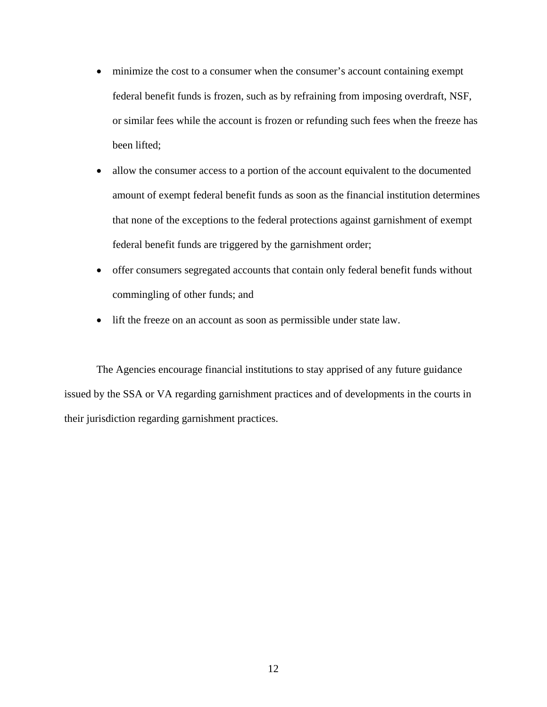- minimize the cost to a consumer when the consumer's account containing exempt federal benefit funds is frozen, such as by refraining from imposing overdraft, NSF, or similar fees while the account is frozen or refunding such fees when the freeze has been lifted;
- allow the consumer access to a portion of the account equivalent to the documented amount of exempt federal benefit funds as soon as the financial institution determines that none of the exceptions to the federal protections against garnishment of exempt federal benefit funds are triggered by the garnishment order;
- offer consumers segregated accounts that contain only federal benefit funds without commingling of other funds; and
- lift the freeze on an account as soon as permissible under state law.

The Agencies encourage financial institutions to stay apprised of any future guidance issued by the SSA or VA regarding garnishment practices and of developments in the courts in their jurisdiction regarding garnishment practices.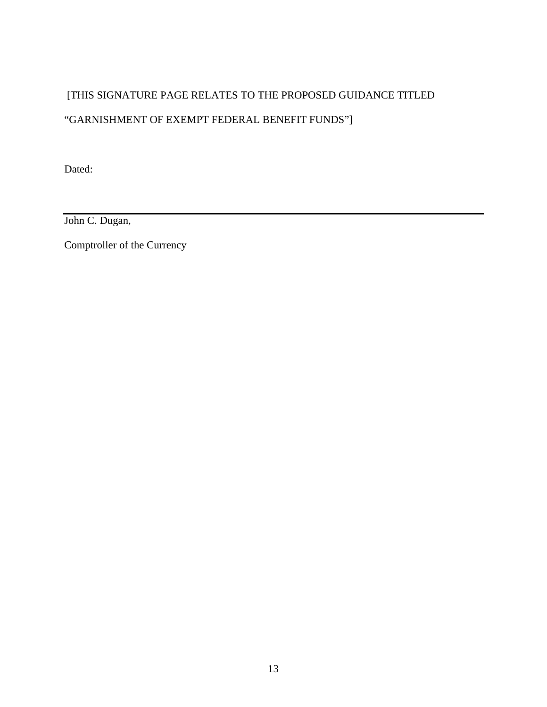# [THIS SIGNATURE PAGE RELATES TO THE PROPOSED GUIDANCE TITLED "GARNISHMENT OF EXEMPT FEDERAL BENEFIT FUNDS"]

Dated:

John C. Dugan,

Comptroller of the Currency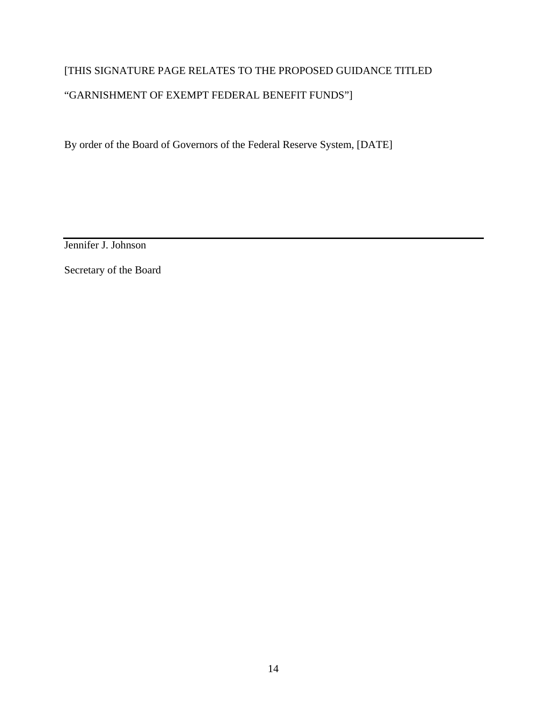# [THIS SIGNATURE PAGE RELATES TO THE PROPOSED GUIDANCE TITLED "GARNISHMENT OF EXEMPT FEDERAL BENEFIT FUNDS"]

By order of the Board of Governors of the Federal Reserve System, [DATE]

Jennifer J. Johnson

Secretary of the Board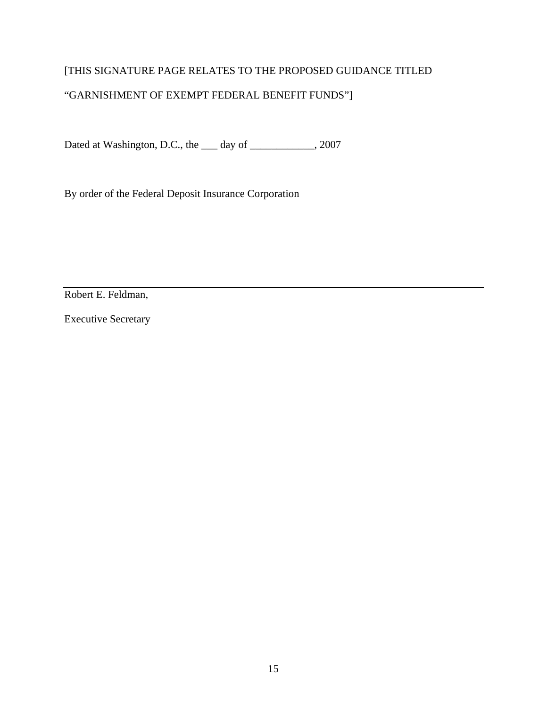### [THIS SIGNATURE PAGE RELATES TO THE PROPOSED GUIDANCE TITLED

### "GARNISHMENT OF EXEMPT FEDERAL BENEFIT FUNDS"]

Dated at Washington, D.C., the \_\_\_ day of \_\_\_\_\_\_\_\_\_\_\_\_, 2007

By order of the Federal Deposit Insurance Corporation

Robert E. Feldman,

Executive Secretary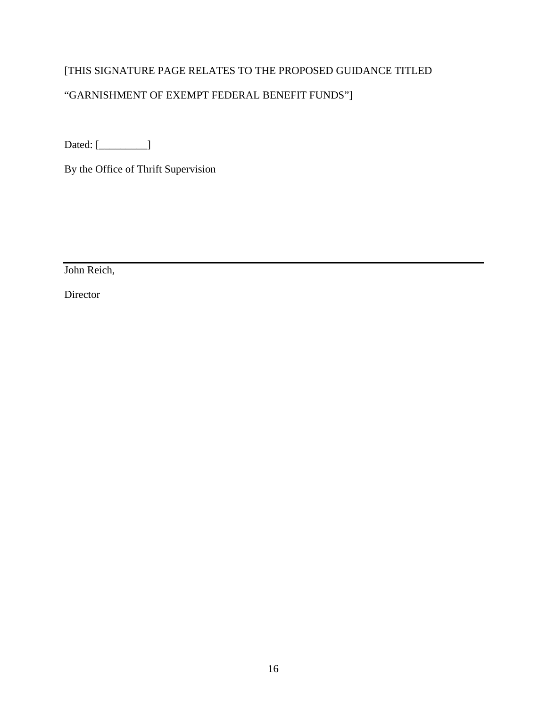### [THIS SIGNATURE PAGE RELATES TO THE PROPOSED GUIDANCE TITLED

## "GARNISHMENT OF EXEMPT FEDERAL BENEFIT FUNDS"]

Dated: [\_\_\_\_\_\_\_\_\_\_]

By the Office of Thrift Supervision

John Reich,

Director